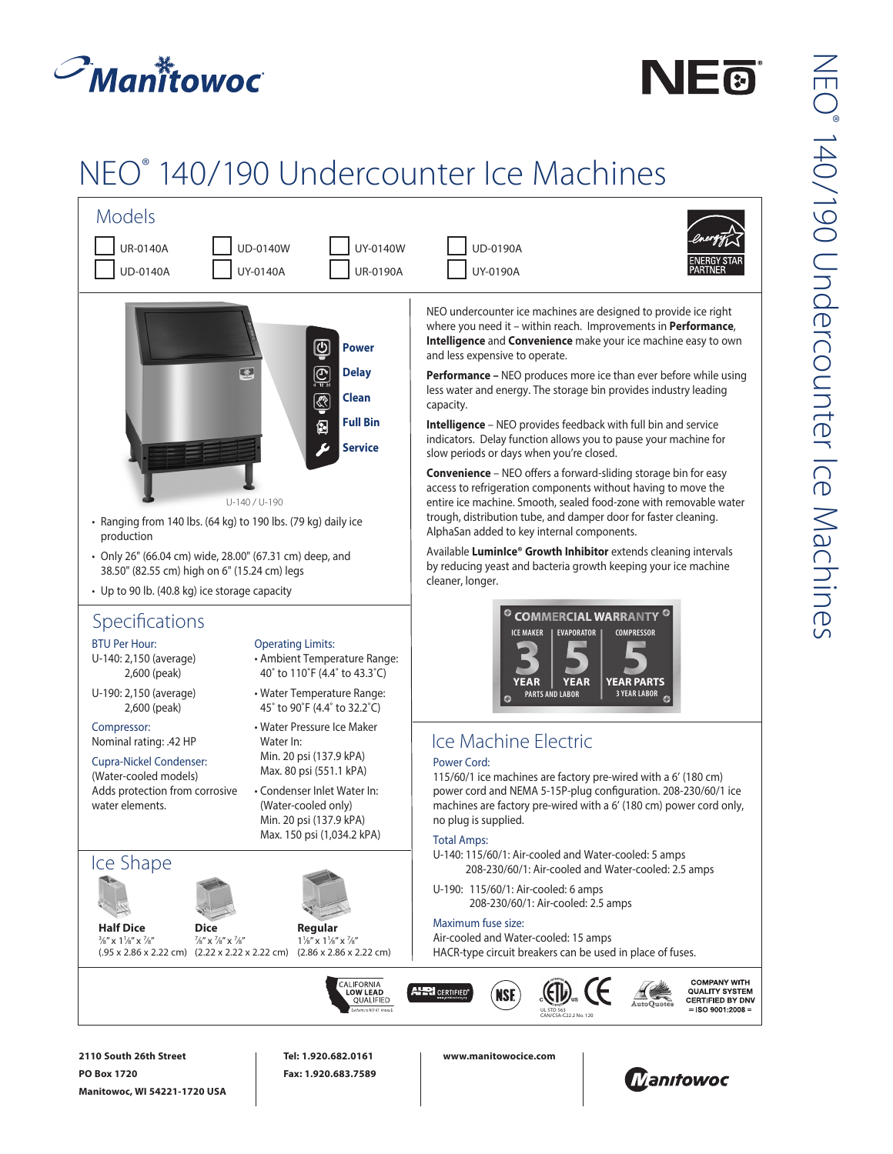



## NEO® 140/190 Undercounter Ice Machines